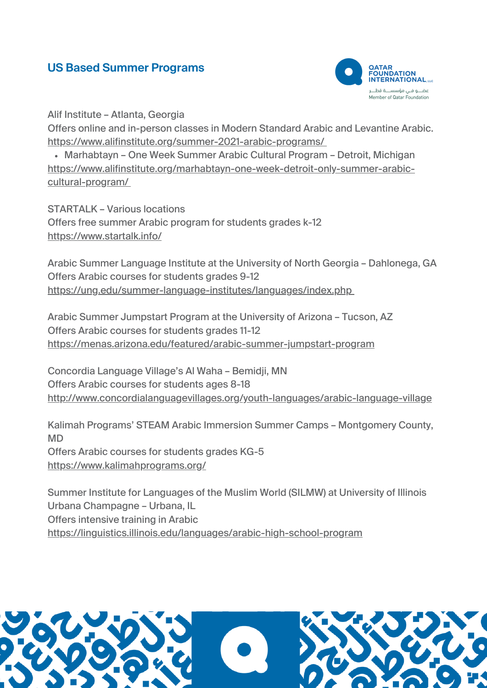## **US Based Summer Programs**



Alif Institute – Atlanta, Georgia

Offers online and in-person classes in Modern Standard Arabic and Levantine Arabic. <https://www.alifinstitute.org/summer-2021-arabic-programs/>

• Marhabtayn – One Week Summer Arabic Cultural Program – Detroit, Michigan [https://www.alifinstitute.org/marhabtayn-one-week-detroit-only-summer-arabic](https://www.alifinstitute.org/marhabtayn-one-week-detroit-only-summer-arabic-cultural-program/)cultural-program[/](https://www.alifinstitute.org/marhabtayn-one-week-detroit-only-summer-arabic-cultural-program/)

STARTALK – Various locations Offers free summer Arabic program for students grades k-12 <https://www.startalk.info/>

Arabic Summer Language Institute at the University of North Georgia – Dahlonega, GA Offers Arabic courses for students grades 9-12 <https://ung.edu/summer-language-institutes/languages/index.php>

Arabic Summer Jumpstart Program at the University of Arizona – Tucson, AZ Offers Arabic courses for students grades 11-12 <https://menas.arizona.edu/featured/arabic-summer-jumpstart-program>

Concordia Language Village's Al Waha – Bemidji, MN Offers Arabic courses for students ages 8-18 <http://www.concordialanguagevillages.org/youth-languages/arabic-language-village>

Kalimah Programs' STEAM Arabic Immersion Summer Camps – Montgomery County, MD Offers Arabic courses for students grades KG-5 <https://www.kalimahprograms.org/>

Summer Institute for Languages of the Muslim World (SILMW) at University of Illinois Urbana Champagne – Urbana, IL Offers intensive training in Arabic <https://linguistics.illinois.edu/languages/arabic-high-school-program>